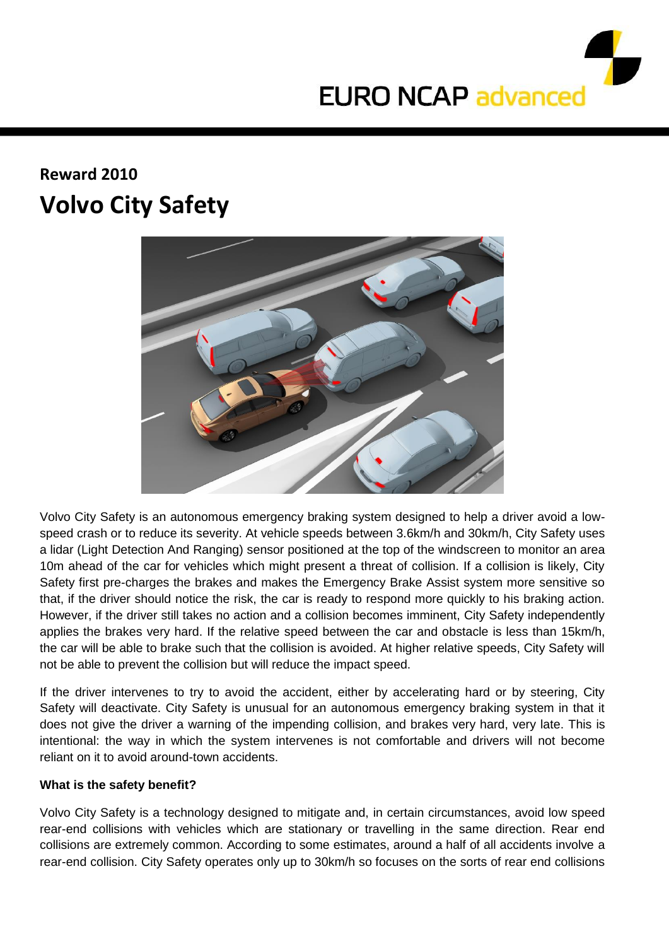

## **Reward 2010 Volvo City Safety**



Volvo City Safety is an autonomous emergency braking system designed to help a driver avoid a lowspeed crash or to reduce its severity. At vehicle speeds between 3.6km/h and 30km/h, City Safety uses a lidar (Light Detection And Ranging) sensor positioned at the top of the windscreen to monitor an area 10m ahead of the car for vehicles which might present a threat of collision. If a collision is likely, City Safety first pre-charges the brakes and makes the Emergency Brake Assist system more sensitive so that, if the driver should notice the risk, the car is ready to respond more quickly to his braking action. However, if the driver still takes no action and a collision becomes imminent, City Safety independently applies the brakes very hard. If the relative speed between the car and obstacle is less than 15km/h, the car will be able to brake such that the collision is avoided. At higher relative speeds, City Safety will not be able to prevent the collision but will reduce the impact speed.

If the driver intervenes to try to avoid the accident, either by accelerating hard or by steering, City Safety will deactivate. City Safety is unusual for an autonomous emergency braking system in that it does not give the driver a warning of the impending collision, and brakes very hard, very late. This is intentional: the way in which the system intervenes is not comfortable and drivers will not become reliant on it to avoid around-town accidents.

## **What is the safety benefit?**

Volvo City Safety is a technology designed to mitigate and, in certain circumstances, avoid low speed rear-end collisions with vehicles which are stationary or travelling in the same direction. Rear end collisions are extremely common. According to some estimates, around a half of all accidents involve a rear-end collision. City Safety operates only up to 30km/h so focuses on the sorts of rear end collisions